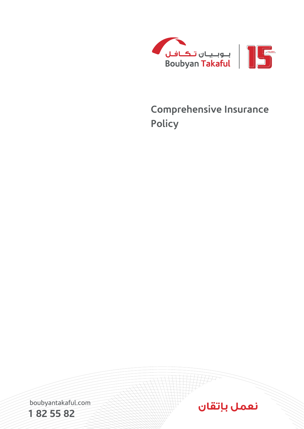

## **Comprehensive Insurance Policy**



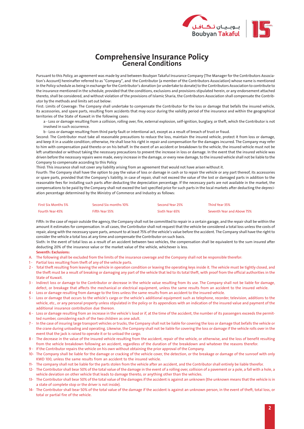

## **Comprehensive Insurance Policy<br>General Conditions**

tion's Account) hereinafter referred to as "Company", and the Contributor (a member of the Contributors Association) whose name is mentioned Pursuant to this Policy, an agreement was made by and between Boubyan Takaful Insurance Company (The Manager for the Contributors Associain the Policy schedule as being in exchange for the Contributor's donation (or undertake to donate) to the Contributors Association to contribute to the insurance mentioned in the schedule, provided that the conditions, exclusions and provisions stipulated herein, or any endorsement attached thereto, shall be considered, and without violation of the provisions of Islamic Sharia, the Contributors Association shall compensate the Contrib-<br>utor by the methods and limits set out below:

First: Limits of Coverage: The Company shall undertake to compensate the Contributor for the loss or damage that befalls the insured vehicle, its accessories, and spare parts, resulting from accidents that may occur during the validity period of the insurance and within the geographical territories of the State of Kuwait in the following cases:

a - Loss or damage resulting from a collision, rolling over, fire, external explosion, self-ignition, burglary, or theft, which the Contributor is not involved in such occurrence.

b - Loss or damage resulting from third party fault or intentional act, except as a result of breach of trust or fraud.

Second: The Contributor must take all reasonable precautions to reduce the loss, maintain the insured vehicle, protect it from loss or damage, and keep it in a usable condition; otherwise, He shall lose his right in repair and compensation for the damages incurred. The Company may refer to him with compensation paid thereto or on his behalf. In the event of an accident or breakdown to the vehicle, the insured vehicle must not be left unattended or without taking the necessary precautions to prevent the increase in loss or damage. In the event that the insured vehicle was driven before the necessary repairs were made, every increase in the damage, or every new damage, to the insured vehicle shall not be liable to the Company to compensate according to this Policy.

Third: This insurance shall not cover any liability arising from an agreement that would not have arisen without it.

Fourth: The Company shall have the option to pay the value of loss or damage in cash or to repair the vehicle or any part thereof, its accessories or spare parts, provided that the Company's liability, in case of repair, shall not exceed the value of the lost or damaged parts in addition to the reasonable fees for installing such parts after deducting the depreciation percentage. If the necessary parts are not available in the market, the compensations to be paid by the Company shall not exceed the last specified price for such parts in the local markets after deducting the depreci-<br>ation percentage determined by the Ministry of Commerce and Industry as fol

| <b>First Six Months 5%</b> | Second Six months 10% | Second Year 25% | Third Year 35%             |
|----------------------------|-----------------------|-----------------|----------------------------|
| Fourth Year 45%            | Fifth Year 55%        | Sixth Year 65%  | Seventh Year and Above 75% |

Fifth: In the case of repair outside the agency, the Company shall not be committed to repair in a certain garage, and the repair shall be within the amount it estimates for compensation. In all cases, the Contributor shall not request that the vehicle be considered a total loss unless the costs of repair, along with the necessary spare parts, amount to at least 75% of the vehicle's value before the accident. The Company shall have the right to consider the vehicle a total loss at any time and compensate the Contributor on such basis.

Sixth: In the event of total loss as a result of an accident between two vehicles, the compensation shall be equivalent to the sum insured after deducting 20% of the insurance value or the market value of the vehicle, whichever is less.

## **Seventh: Exclusions:**

- A. The following shall be excluded from the limits of the insurance coverage and the Company shall not be responsible therefor:
- 1 Partial loss resulting from theft of any of the vehicle parts.
- 2 Total theft resulting from leaving the vehicle in operation condition or leaving the operating keys inside it. The vehicle must be tightly closed, and the theft must be a result of breaking or damaging any part of the vehicle that led to its total theft, with proof from the official authorities in the State of Kuwait
- 3- Indirect loss or damage to the Contributor or decrease in the vehicle value resulting from its use. The Company shall not be liable for damage, defect, or breakage that affects the mechanical or electrical equipment, unless the same results from an accident to the insured vehicle.
- 4 Loss or damage resulting from damage to the tires unless the same results from an accident to the insured vehicle.
- 5 Loss or damage that occurs to the vehicle's cargo or the vehicle's additional equipment such as telephone, recorder, television, additions to the vehicle, etc., or any personal property unless stipulated in the policy or its appendices with an indication of the insured value and payment of the additional insurance contribution due thereon.
- 6 Loss or damage resulting from an increase in the vehicle's load or if, at the time of the accident, the number of its passengers exceeds the permitted number, considering each of the two children as one adult.<br>ted nu
- 7- In the case of insuring large transport vehicles or trucks, the Company shall not be liable for covering the loss or damage that befalls the vehicle or the crane during unloading and operating. Likewise, the Company shall not be liable for covering the loss or damage if the vehicle rolls over in the event that the jack is raised to operate it or to unload the cargo.
- 8 The decrease in the value of the insured vehicle resulting from the accident, repair of the vehicle, or otherwise, and the loss of benefit resulting from the vehicle breakdown following an accident, regardless of the duration of the breakdown and whatever the reasons therefor.
- 9 If the Contributor repairs the vehicle on his own without obtaining the prior approval of the Company.
- 10- The Company shall be liable for the damage or cracking of the vehicle cover, the detection, or the breakage or damage of the sunroof with only KWD 100, unless the same results from an accident to the insured vehicle.
- 11- The company shall not be liable for the parts stolen from the vehicle after an accident, and the Contributor shall entirely be liable therefor.
- 12- The Contributor shall bear 50% of the total value of the damage in the event of a rolling over, collision of a pavement or a pole, a fall with a hole, a vehicle deviation on other vehicle that leads to damage thereto, or anything other than the vehicles.
- 13- The Contributor shall bear 50% of the total value of the damages if the accident is against an unknown (the unknown means that the vehicle is in a state of complete stop or the driver is not inside).
- 14- The Contributor shall bear 50% of the total value of the damage if the accident is against an unknown person, in the event of theft, total loss, or total or partial fire of the vehicle.